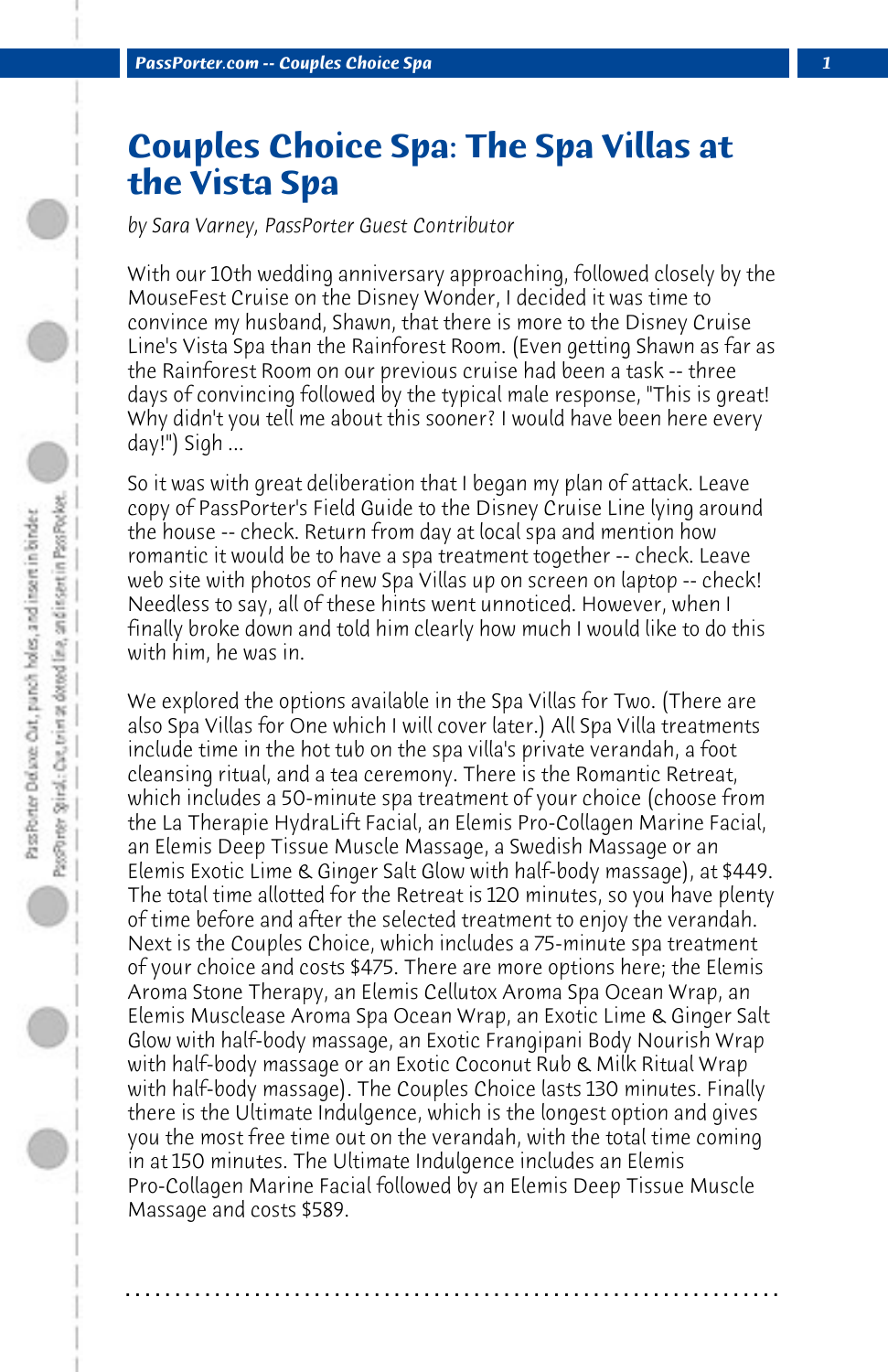## **Couples Choice Spa: The Spa Villas at the Vista Spa**

*by Sara Varney, PassPorter Guest Contributor*

With our 10th wedding anniversary approaching, followed closely by the MouseFest Cruise on the Disney Wonder, I decided it was time to convince my husband, Shawn, that there is more to the Disney Cruise Line's Vista Spa than the Rainforest Room. (Even getting Shawn as far as the Rainforest Room on our previous cruise had been a task -- three days of convincing followed by the typical male response, "This is great! Why didn't you tell me about this sooner? I would have been here every day!") Sigh ...

So it was with great deliberation that I began my plan of attack. Leave copy of PassPorter's Field Guide to the Disney Cruise Line lying around the house -- check. Return from day at local spa and mention how romantic it would be to have a spa treatment together -- check. Leave web site with photos of new Spa Villas up on screen on laptop -- check! Needless to say, all of these hints went unnoticed. However, when I finally broke down and told him clearly how much I would like to do this with him, he was in.

We explored the options available in the Spa Villas for Two. (There are also Spa Villas for One which I will cover later.) All Spa Villa treatments include time in the hot tub on the spa villa's private verandah, a foot cleansing ritual, and a tea ceremony. There is the Romantic Retreat, which includes a 50-minute spa treatment of your choice (choose from the La Therapie HydraLift Facial, an Elemis Pro-Collagen Marine Facial, an Elemis Deep Tissue Muscle Massage, a Swedish Massage or an Elemis Exotic Lime & Ginger Salt Glow with half-body massage), at \$449. The total time allotted for the Retreat is 120 minutes, so you have plenty of time before and after the selected treatment to enjoy the verandah. Next is the Couples Choice, which includes a 75-minute spa treatment of your choice and costs \$475. There are more options here; the Elemis Aroma Stone Therapy, an Elemis Cellutox Aroma Spa Ocean Wrap, an Elemis Musclease Aroma Spa Ocean Wrap, an Exotic Lime & Ginger Salt Glow with half-body massage, an Exotic Frangipani Body Nourish Wrap with half-body massage or an Exotic Coconut Rub & Milk Ritual Wrap with half-body massage). The Couples Choice lasts 130 minutes. Finally there is the Ultimate Indulgence, which is the longest option and gives you the most free time out on the verandah, with the total time coming in at 150 minutes. The Ultimate Indulgence includes an Elemis Pro-Collagen Marine Facial followed by an Elemis Deep Tissue Muscle Massage and costs \$589.

**. . . . . . . . . . . . . . . . . . . . . . . . . . . . . . . . . . . . . . . . . . . . . . . . . . . . . . . . . . . . . . . . . .**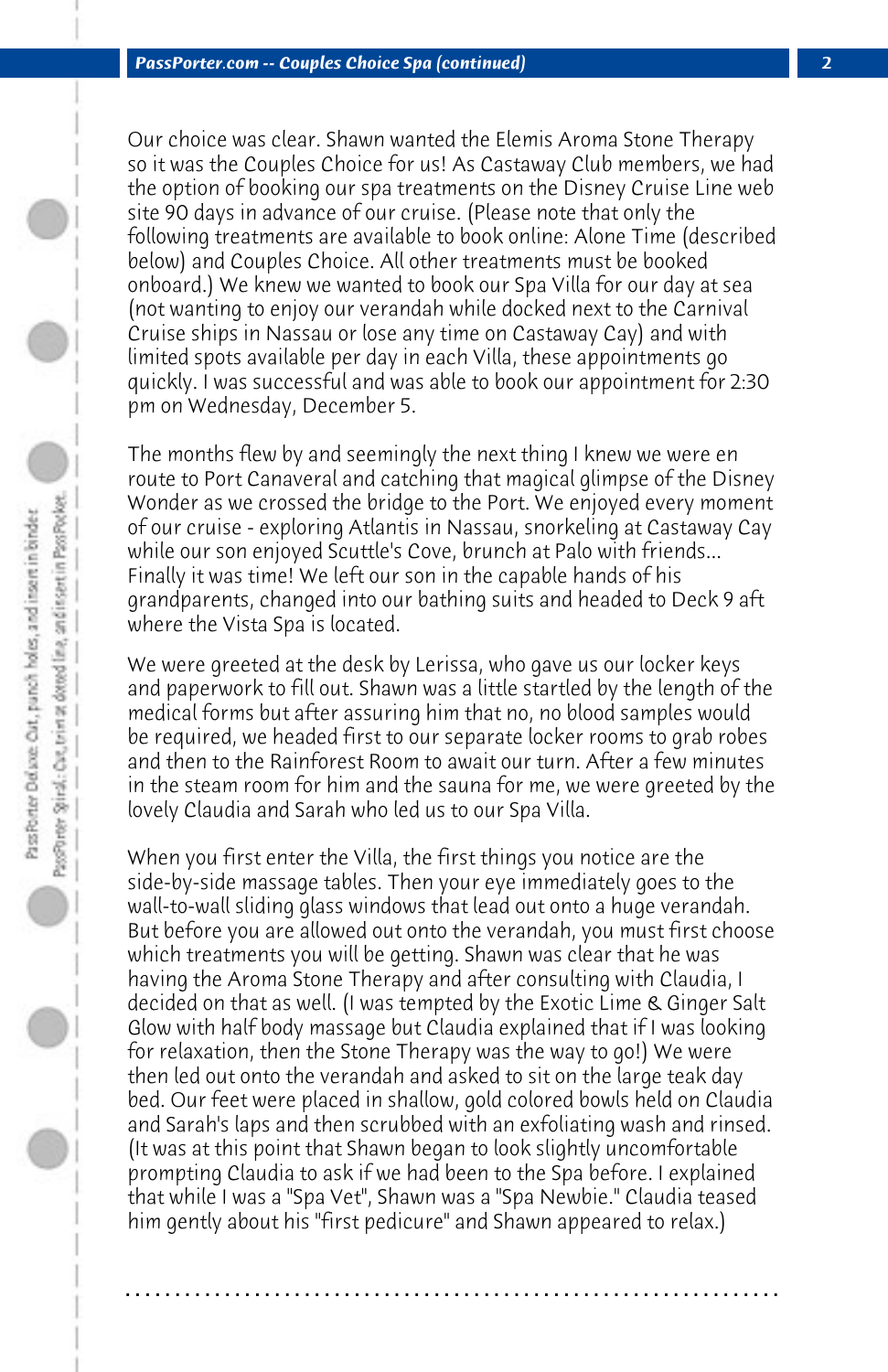Our choice was clear. Shawn wanted the Elemis Aroma Stone Therapy so it was the Couples Choice for us! As Castaway Club members, we had the option of booking our spa treatments on the Disney Cruise Line web site 90 days in advance of our cruise. (Please note that only the following treatments are available to book online: Alone Time (described below) and Couples Choice. All other treatments must be booked onboard.) We knew we wanted to book our Spa Villa for our day at sea (not wanting to enjoy our verandah while docked next to the Carnival Cruise ships in Nassau or lose any time on Castaway Cay) and with limited spots available per day in each Villa, these appointments go quickly. I was successful and was able to book our appointment for 2:30 pm on Wednesday, December 5.

The months flew by and seemingly the next thing I knew we were en route to Port Canaveral and catching that magical glimpse of the Disney Wonder as we crossed the bridge to the Port. We enjoyed every moment of our cruise - exploring Atlantis in Nassau, snorkeling at Castaway Cay while our son enjoyed Scuttle's Cove, brunch at Palo with friends... Finally it was time! We left our son in the capable hands of his grandparents, changed into our bathing suits and headed to Deck 9 aft where the Vista Spa is located.

We were greeted at the desk by Lerissa, who gave us our locker keys and paperwork to fill out. Shawn was a little startled by the length of the medical forms but after assuring him that no, no blood samples would be required, we headed first to our separate locker rooms to grab robes and then to the Rainforest Room to await our turn. After a few minutes in the steam room for him and the sauna for me, we were greeted by the lovely Claudia and Sarah who led us to our Spa Villa.

When you first enter the Villa, the first things you notice are the side-by-side massage tables. Then your eye immediately goes to the wall-to-wall sliding glass windows that lead out onto a huge verandah. But before you are allowed out onto the verandah, you must first choose which treatments you will be getting. Shawn was clear that he was having the Aroma Stone Therapy and after consulting with Claudia, I decided on that as well. (I was tempted by the Exotic Lime & Ginger Salt Glow with half body massage but Claudia explained that if I was looking for relaxation, then the Stone Therapy was the way to go!) We were then led out onto the verandah and asked to sit on the large teak day bed. Our feet were placed in shallow, gold colored bowls held on Claudia and Sarah's laps and then scrubbed with an exfoliating wash and rinsed. (It was at this point that Shawn began to look slightly uncomfortable prompting Claudia to ask if we had been to the Spa before. I explained that while I was a "Spa Vet", Shawn was a "Spa Newbie." Claudia teased him gently about his "first pedicure" and Shawn appeared to relax.)

**. . . . . . . . . . . . . . . . . . . . . . . . . . . . . . . . . . . . . . . . . . . . . . . . . . . . . . . . . . . . . . . . . .**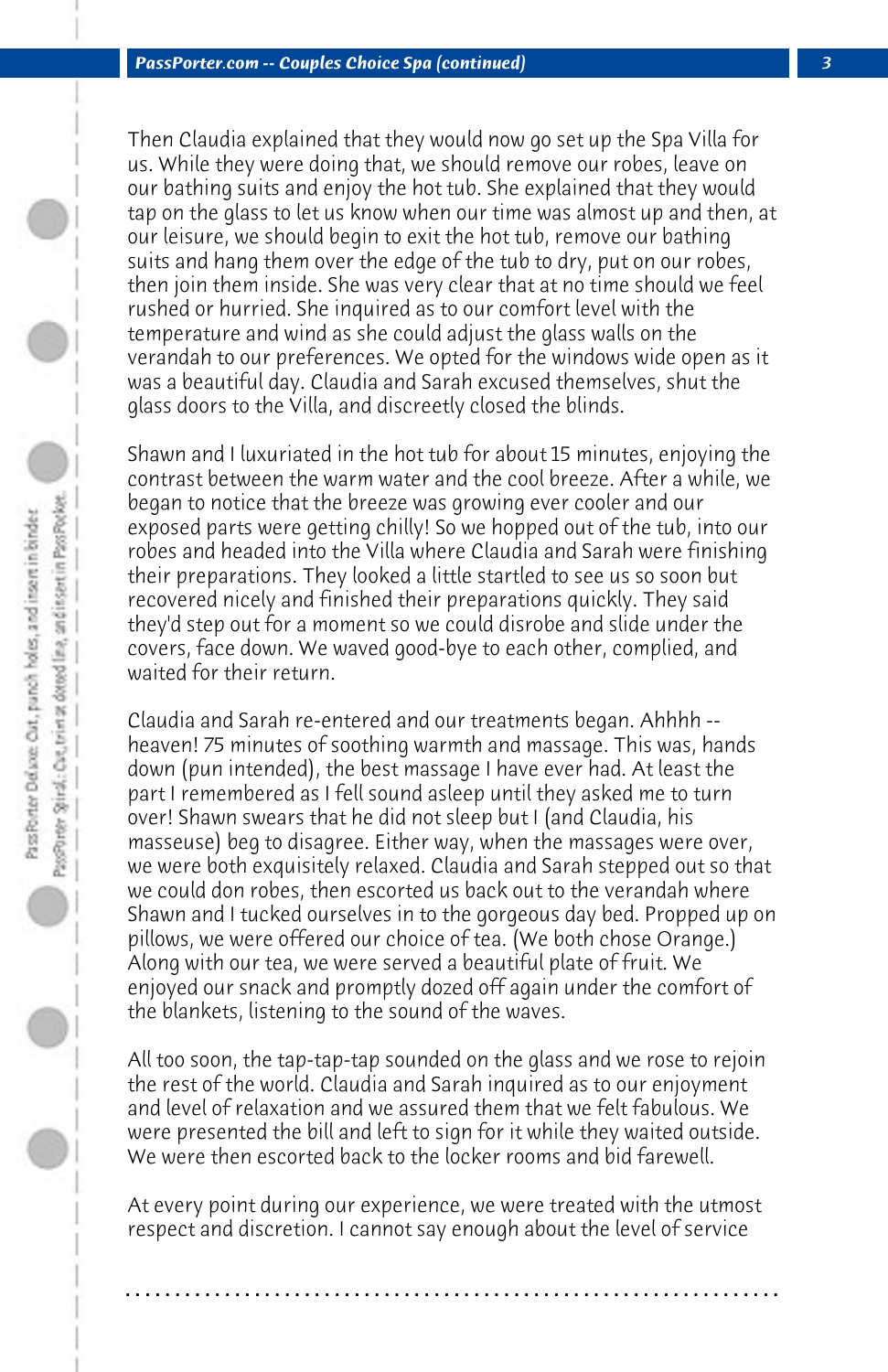Then Claudia explained that they would now go set up the Spa Villa for us. While they were doing that, we should remove our robes, leave on our bathing suits and enjoy the hot tub. She explained that they would tap on the glass to let us know when our time was almost up and then, at our leisure, we should begin to exit the hot tub, remove our bathing suits and hang them over the edge of the tub to dry, put on our robes, then join them inside. She was very clear that at no time should we feel rushed or hurried. She inquired as to our comfort level with the temperature and wind as she could adjust the glass walls on the verandah to our preferences. We opted for the windows wide open as it was a beautiful day. Claudia and Sarah excused themselves, shut the glass doors to the Villa, and discreetly closed the blinds.

Shawn and I luxuriated in the hot tub for about 15 minutes, enjoying the contrast between the warm water and the cool breeze. After a while, we began to notice that the breeze was growing ever cooler and our exposed parts were getting chilly! So we hopped out of the tub, into our robes and headed into the Villa where Claudia and Sarah were finishing their preparations. They looked a little startled to see us so soon but recovered nicely and finished their preparations quickly. They said they'd step out for a moment so we could disrobe and slide under the covers, face down. We waved good-bye to each other, complied, and waited for their return.

Claudia and Sarah re-entered and our treatments began. Ahhhh - heaven! 75 minutes of soothing warmth and massage. This was, hands down (pun intended), the best massage I have ever had. At least the part I remembered as I fell sound asleep until they asked me to turn over! Shawn swears that he did not sleep but I (and Claudia, his masseuse) beg to disagree. Either way, when the massages were over, we were both exquisitely relaxed. Claudia and Sarah stepped out so that we could don robes, then escorted us back out to the verandah where Shawn and I tucked ourselves in to the gorgeous day bed. Propped up on pillows, we were offered our choice of tea. (We both chose Orange.) Along with our tea, we were served a beautiful plate of fruit. We enjoyed our snack and promptly dozed off again under the comfort of the blankets, listening to the sound of the waves.

All too soon, the tap-tap-tap sounded on the glass and we rose to rejoin the rest of the world. Claudia and Sarah inquired as to our enjoyment and level of relaxation and we assured them that we felt fabulous. We were presented the bill and left to sign for it while they waited outside. We were then escorted back to the locker rooms and bid farewell.

At every point during our experience, we were treated with the utmost respect and discretion. I cannot say enough about the level of service

**. . . . . . . . . . . . . . . . . . . . . . . . . . . . . . . . . . . . . . . . . . . . . . . . . . . . . . . . . . . . . . . . . .**